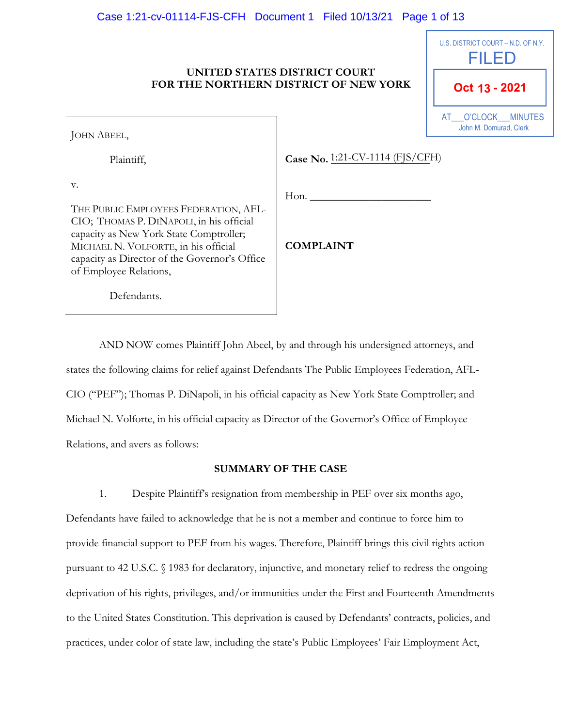### Case 1:21-cv-01114-FJS-CFH Document 1 Filed 10/13/21 Page 1 of 13

#### **UNITED STATES DISTRICT COURT FOR THE NORTHERN DISTRICT OF NEW YORK**

| U.S. DISTRICT COURT - N.D. OF N.Y.<br>FILED  |
|----------------------------------------------|
| Oct 13 - 2021                                |
| AT O'CLOCK MINUTES<br>John M. Domurad, Clerk |

JOHN ABEEL,

Plaintiff,

Case No. 1:21-CV-1114 (FJS/CFH)

v.

THE PUBLIC EMPLOYEES FEDERATION, AFL-CIO; THOMAS P. DINAPOLI, in his official capacity as New York State Comptroller; MICHAEL N. VOLFORTE, in his official capacity as Director of the Governor's Office of Employee Relations,

**COMPLAINT**

 $H$ on.

Defendants.

AND NOW comes Plaintiff John Abeel, by and through his undersigned attorneys, and states the following claims for relief against Defendants The Public Employees Federation, AFL-CIO ("PEF"); Thomas P. DiNapoli, in his official capacity as New York State Comptroller; and Michael N. Volforte, in his official capacity as Director of the Governor's Office of Employee Relations, and avers as follows:

### **SUMMARY OF THE CASE**

1. Despite Plaintiff's resignation from membership in PEF over six months ago, Defendants have failed to acknowledge that he is not a member and continue to force him to provide financial support to PEF from his wages. Therefore, Plaintiff brings this civil rights action pursuant to 42 U.S.C. § 1983 for declaratory, injunctive, and monetary relief to redress the ongoing deprivation of his rights, privileges, and/or immunities under the First and Fourteenth Amendments to the United States Constitution. This deprivation is caused by Defendants' contracts, policies, and practices, under color of state law, including the state's Public Employees' Fair Employment Act,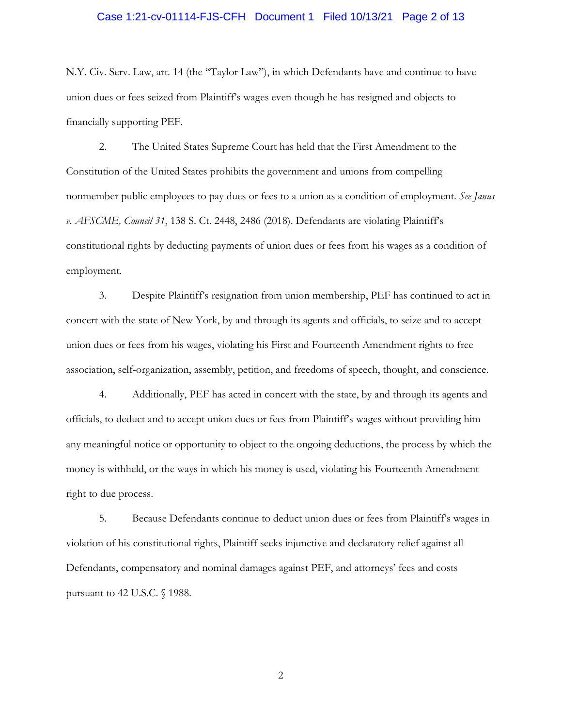### Case 1:21-cv-01114-FJS-CFH Document 1 Filed 10/13/21 Page 2 of 13

N.Y. Civ. Serv. Law, art. 14 (the "Taylor Law"), in which Defendants have and continue to have union dues or fees seized from Plaintiff's wages even though he has resigned and objects to financially supporting PEF.

2. The United States Supreme Court has held that the First Amendment to the Constitution of the United States prohibits the government and unions from compelling nonmember public employees to pay dues or fees to a union as a condition of employment. *See Janus v. AFSCME, Council 31*, 138 S. Ct. 2448, 2486 (2018). Defendants are violating Plaintiff's constitutional rights by deducting payments of union dues or fees from his wages as a condition of employment.

3. Despite Plaintiff's resignation from union membership, PEF has continued to act in concert with the state of New York, by and through its agents and officials, to seize and to accept union dues or fees from his wages, violating his First and Fourteenth Amendment rights to free association, self-organization, assembly, petition, and freedoms of speech, thought, and conscience.

4. Additionally, PEF has acted in concert with the state, by and through its agents and officials, to deduct and to accept union dues or fees from Plaintiff's wages without providing him any meaningful notice or opportunity to object to the ongoing deductions, the process by which the money is withheld, or the ways in which his money is used, violating his Fourteenth Amendment right to due process.

5. Because Defendants continue to deduct union dues or fees from Plaintiff's wages in violation of his constitutional rights, Plaintiff seeks injunctive and declaratory relief against all Defendants, compensatory and nominal damages against PEF, and attorneys' fees and costs pursuant to 42 U.S.C. § 1988.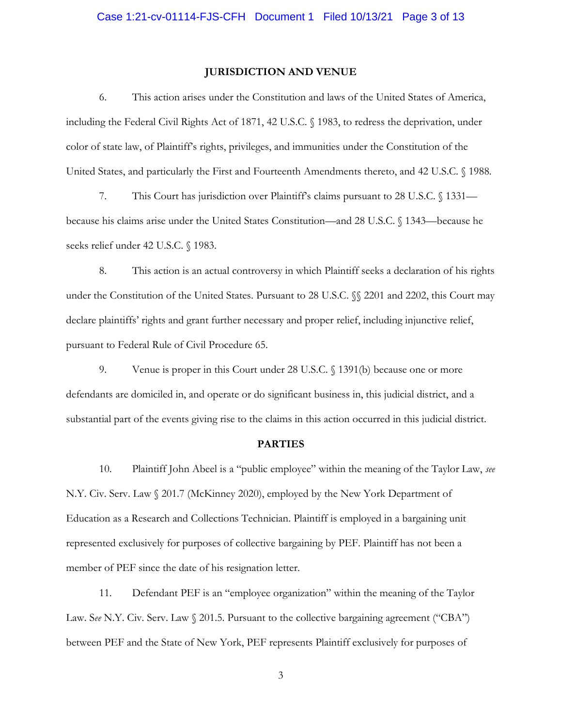#### **JURISDICTION AND VENUE**

6. This action arises under the Constitution and laws of the United States of America, including the Federal Civil Rights Act of 1871, 42 U.S.C. § 1983, to redress the deprivation, under color of state law, of Plaintiff's rights, privileges, and immunities under the Constitution of the United States, and particularly the First and Fourteenth Amendments thereto, and 42 U.S.C. § 1988.

7. This Court has jurisdiction over Plaintiff's claims pursuant to 28 U.S.C. § 1331 because his claims arise under the United States Constitution—and 28 U.S.C. § 1343—because he seeks relief under 42 U.S.C. § 1983.

8. This action is an actual controversy in which Plaintiff seeks a declaration of his rights under the Constitution of the United States. Pursuant to 28 U.S.C.  $\%$  2201 and 2202, this Court may declare plaintiffs' rights and grant further necessary and proper relief, including injunctive relief, pursuant to Federal Rule of Civil Procedure 65.

9. Venue is proper in this Court under 28 U.S.C. § 1391(b) because one or more defendants are domiciled in, and operate or do significant business in, this judicial district, and a substantial part of the events giving rise to the claims in this action occurred in this judicial district.

#### **PARTIES**

10. Plaintiff John Abeel is a "public employee" within the meaning of the Taylor Law, *see* N.Y. Civ. Serv. Law § 201.7 (McKinney 2020), employed by the New York Department of Education as a Research and Collections Technician. Plaintiff is employed in a bargaining unit represented exclusively for purposes of collective bargaining by PEF. Plaintiff has not been a member of PEF since the date of his resignation letter.

11. Defendant PEF is an "employee organization" within the meaning of the Taylor Law. See N.Y. Civ. Serv. Law  $\Diamond$  201.5. Pursuant to the collective bargaining agreement ("CBA") between PEF and the State of New York, PEF represents Plaintiff exclusively for purposes of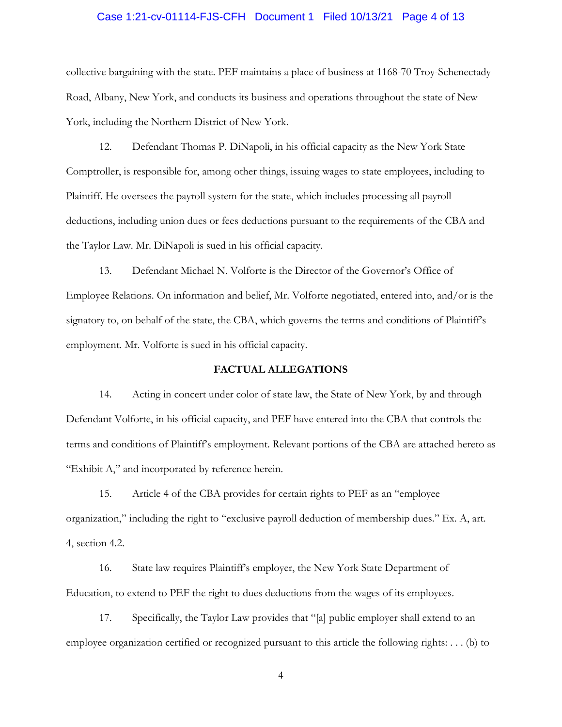# Case 1:21-cv-01114-FJS-CFH Document 1 Filed 10/13/21 Page 4 of 13

collective bargaining with the state. PEF maintains a place of business at 1168-70 Troy-Schenectady Road, Albany, New York, and conducts its business and operations throughout the state of New York, including the Northern District of New York.

12. Defendant Thomas P. DiNapoli, in his official capacity as the New York State Comptroller, is responsible for, among other things, issuing wages to state employees, including to Plaintiff. He oversees the payroll system for the state, which includes processing all payroll deductions, including union dues or fees deductions pursuant to the requirements of the CBA and the Taylor Law. Mr. DiNapoli is sued in his official capacity.

13. Defendant Michael N. Volforte is the Director of the Governor's Office of Employee Relations. On information and belief, Mr. Volforte negotiated, entered into, and/or is the signatory to, on behalf of the state, the CBA, which governs the terms and conditions of Plaintiff's employment. Mr. Volforte is sued in his official capacity.

### **FACTUAL ALLEGATIONS**

14. Acting in concert under color of state law, the State of New York, by and through Defendant Volforte, in his official capacity, and PEF have entered into the CBA that controls the terms and conditions of Plaintiff's employment. Relevant portions of the CBA are attached hereto as "Exhibit A," and incorporated by reference herein.

15. Article 4 of the CBA provides for certain rights to PEF as an "employee organization," including the right to "exclusive payroll deduction of membership dues." Ex. A, art. 4, section 4.2.

16. State law requires Plaintiff's employer, the New York State Department of Education, to extend to PEF the right to dues deductions from the wages of its employees.

17. Specifically, the Taylor Law provides that "[a] public employer shall extend to an employee organization certified or recognized pursuant to this article the following rights: . . . (b) to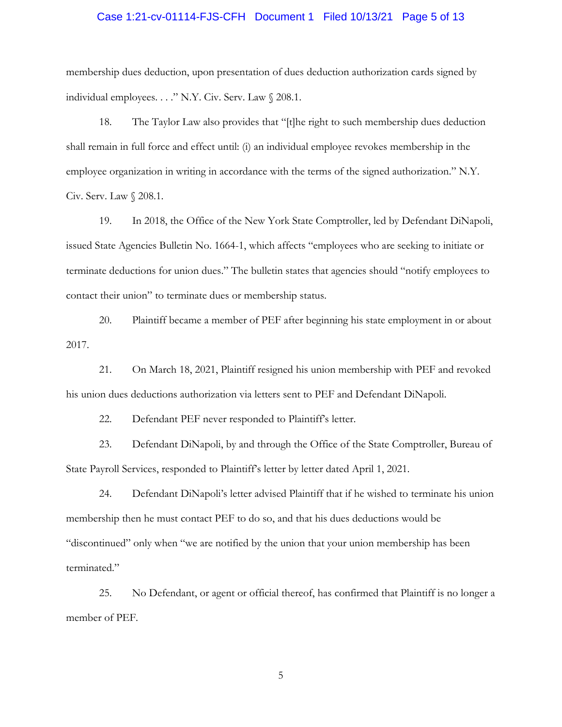# Case 1:21-cv-01114-FJS-CFH Document 1 Filed 10/13/21 Page 5 of 13

membership dues deduction, upon presentation of dues deduction authorization cards signed by individual employees. . . ." N.Y. Civ. Serv. Law § 208.1.

18. The Taylor Law also provides that "[t]he right to such membership dues deduction shall remain in full force and effect until: (i) an individual employee revokes membership in the employee organization in writing in accordance with the terms of the signed authorization." N.Y. Civ. Serv. Law § 208.1.

19. In 2018, the Office of the New York State Comptroller, led by Defendant DiNapoli, issued State Agencies Bulletin No. 1664-1, which affects "employees who are seeking to initiate or terminate deductions for union dues." The bulletin states that agencies should "notify employees to contact their union" to terminate dues or membership status.

20. Plaintiff became a member of PEF after beginning his state employment in or about 2017.

21. On March 18, 2021, Plaintiff resigned his union membership with PEF and revoked his union dues deductions authorization via letters sent to PEF and Defendant DiNapoli.

22. Defendant PEF never responded to Plaintiff's letter.

23. Defendant DiNapoli, by and through the Office of the State Comptroller, Bureau of State Payroll Services, responded to Plaintiff's letter by letter dated April 1, 2021.

24. Defendant DiNapoli's letter advised Plaintiff that if he wished to terminate his union membership then he must contact PEF to do so, and that his dues deductions would be "discontinued" only when "we are notified by the union that your union membership has been terminated."

25. No Defendant, or agent or official thereof, has confirmed that Plaintiff is no longer a member of PEF.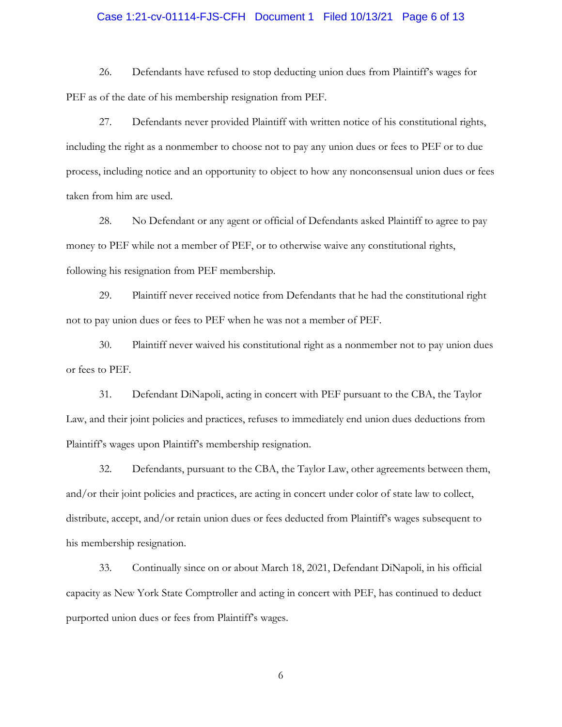# Case 1:21-cv-01114-FJS-CFH Document 1 Filed 10/13/21 Page 6 of 13

26. Defendants have refused to stop deducting union dues from Plaintiff's wages for PEF as of the date of his membership resignation from PEF.

27. Defendants never provided Plaintiff with written notice of his constitutional rights, including the right as a nonmember to choose not to pay any union dues or fees to PEF or to due process, including notice and an opportunity to object to how any nonconsensual union dues or fees taken from him are used.

28. No Defendant or any agent or official of Defendants asked Plaintiff to agree to pay money to PEF while not a member of PEF, or to otherwise waive any constitutional rights, following his resignation from PEF membership.

29. Plaintiff never received notice from Defendants that he had the constitutional right not to pay union dues or fees to PEF when he was not a member of PEF.

30. Plaintiff never waived his constitutional right as a nonmember not to pay union dues or fees to PEF.

31. Defendant DiNapoli, acting in concert with PEF pursuant to the CBA, the Taylor Law, and their joint policies and practices, refuses to immediately end union dues deductions from Plaintiff's wages upon Plaintiff's membership resignation.

32. Defendants, pursuant to the CBA, the Taylor Law, other agreements between them, and/or their joint policies and practices, are acting in concert under color of state law to collect, distribute, accept, and/or retain union dues or fees deducted from Plaintiff's wages subsequent to his membership resignation.

33. Continually since on or about March 18, 2021, Defendant DiNapoli, in his official capacity as New York State Comptroller and acting in concert with PEF, has continued to deduct purported union dues or fees from Plaintiff's wages.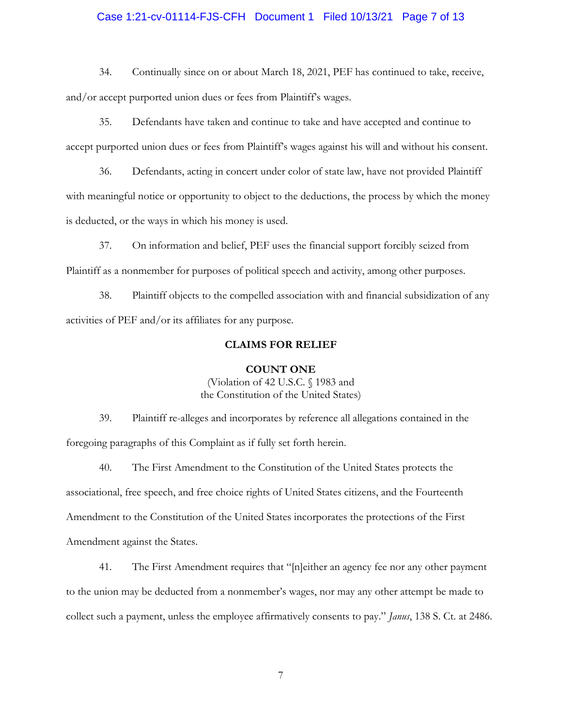# Case 1:21-cv-01114-FJS-CFH Document 1 Filed 10/13/21 Page 7 of 13

34. Continually since on or about March 18, 2021, PEF has continued to take, receive, and/or accept purported union dues or fees from Plaintiff's wages.

35. Defendants have taken and continue to take and have accepted and continue to accept purported union dues or fees from Plaintiff's wages against his will and without his consent.

36. Defendants, acting in concert under color of state law, have not provided Plaintiff with meaningful notice or opportunity to object to the deductions, the process by which the money is deducted, or the ways in which his money is used.

37. On information and belief, PEF uses the financial support forcibly seized from Plaintiff as a nonmember for purposes of political speech and activity, among other purposes.

38. Plaintiff objects to the compelled association with and financial subsidization of any activities of PEF and/or its affiliates for any purpose.

#### **CLAIMS FOR RELIEF**

#### **COUNT ONE**

(Violation of 42 U.S.C. § 1983 and the Constitution of the United States)

39. Plaintiff re-alleges and incorporates by reference all allegations contained in the foregoing paragraphs of this Complaint as if fully set forth herein.

40. The First Amendment to the Constitution of the United States protects the associational, free speech, and free choice rights of United States citizens, and the Fourteenth Amendment to the Constitution of the United States incorporates the protections of the First Amendment against the States.

41. The First Amendment requires that "[n]either an agency fee nor any other payment to the union may be deducted from a nonmember's wages, nor may any other attempt be made to collect such a payment, unless the employee affirmatively consents to pay." *Janus*, 138 S. Ct. at 2486.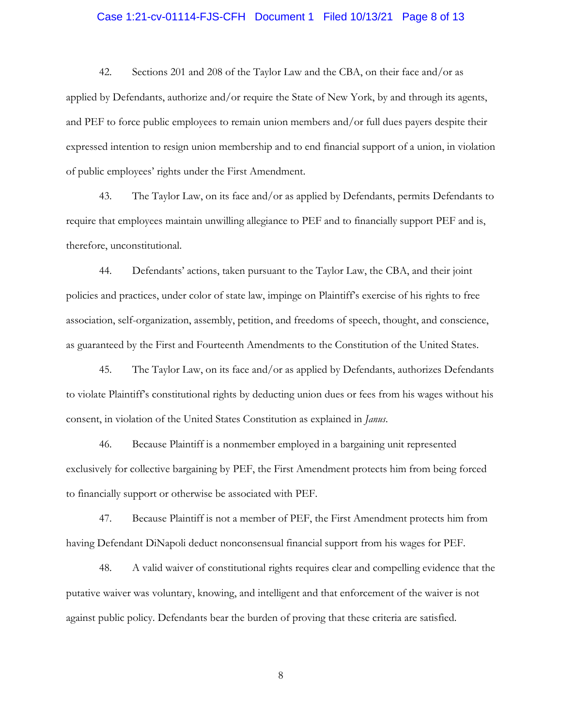# Case 1:21-cv-01114-FJS-CFH Document 1 Filed 10/13/21 Page 8 of 13

42. Sections 201 and 208 of the Taylor Law and the CBA, on their face and/or as applied by Defendants, authorize and/or require the State of New York, by and through its agents, and PEF to force public employees to remain union members and/or full dues payers despite their expressed intention to resign union membership and to end financial support of a union, in violation of public employees' rights under the First Amendment.

43. The Taylor Law, on its face and/or as applied by Defendants, permits Defendants to require that employees maintain unwilling allegiance to PEF and to financially support PEF and is, therefore, unconstitutional.

44. Defendants' actions, taken pursuant to the Taylor Law, the CBA, and their joint policies and practices, under color of state law, impinge on Plaintiff's exercise of his rights to free association, self-organization, assembly, petition, and freedoms of speech, thought, and conscience, as guaranteed by the First and Fourteenth Amendments to the Constitution of the United States.

45. The Taylor Law, on its face and/or as applied by Defendants, authorizes Defendants to violate Plaintiff's constitutional rights by deducting union dues or fees from his wages without his consent, in violation of the United States Constitution as explained in *Janus*.

46. Because Plaintiff is a nonmember employed in a bargaining unit represented exclusively for collective bargaining by PEF, the First Amendment protects him from being forced to financially support or otherwise be associated with PEF.

47. Because Plaintiff is not a member of PEF, the First Amendment protects him from having Defendant DiNapoli deduct nonconsensual financial support from his wages for PEF.

48. A valid waiver of constitutional rights requires clear and compelling evidence that the putative waiver was voluntary, knowing, and intelligent and that enforcement of the waiver is not against public policy. Defendants bear the burden of proving that these criteria are satisfied.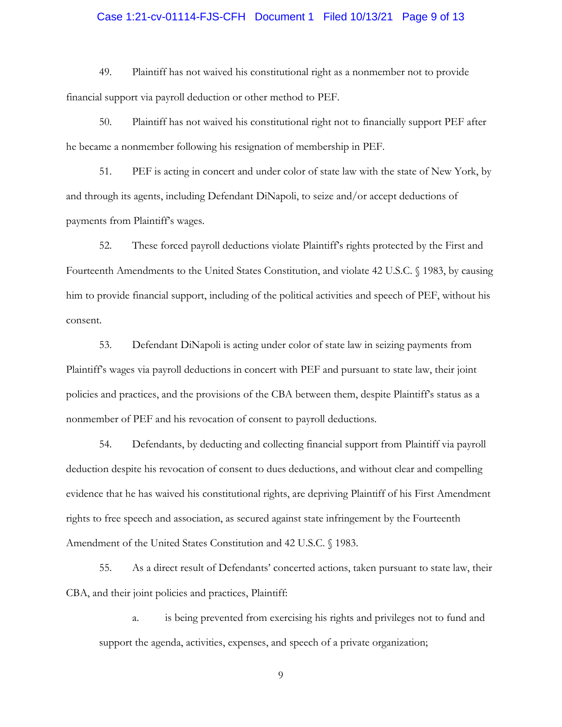# Case 1:21-cv-01114-FJS-CFH Document 1 Filed 10/13/21 Page 9 of 13

49. Plaintiff has not waived his constitutional right as a nonmember not to provide financial support via payroll deduction or other method to PEF.

50. Plaintiff has not waived his constitutional right not to financially support PEF after he became a nonmember following his resignation of membership in PEF.

51. PEF is acting in concert and under color of state law with the state of New York, by and through its agents, including Defendant DiNapoli, to seize and/or accept deductions of payments from Plaintiff's wages.

52. These forced payroll deductions violate Plaintiff's rights protected by the First and Fourteenth Amendments to the United States Constitution, and violate 42 U.S.C. § 1983, by causing him to provide financial support, including of the political activities and speech of PEF, without his consent.

53. Defendant DiNapoli is acting under color of state law in seizing payments from Plaintiff's wages via payroll deductions in concert with PEF and pursuant to state law, their joint policies and practices, and the provisions of the CBA between them, despite Plaintiff's status as a nonmember of PEF and his revocation of consent to payroll deductions.

54. Defendants, by deducting and collecting financial support from Plaintiff via payroll deduction despite his revocation of consent to dues deductions, and without clear and compelling evidence that he has waived his constitutional rights, are depriving Plaintiff of his First Amendment rights to free speech and association, as secured against state infringement by the Fourteenth Amendment of the United States Constitution and 42 U.S.C. § 1983.

55. As a direct result of Defendants' concerted actions, taken pursuant to state law, their CBA, and their joint policies and practices, Plaintiff:

a. is being prevented from exercising his rights and privileges not to fund and support the agenda, activities, expenses, and speech of a private organization;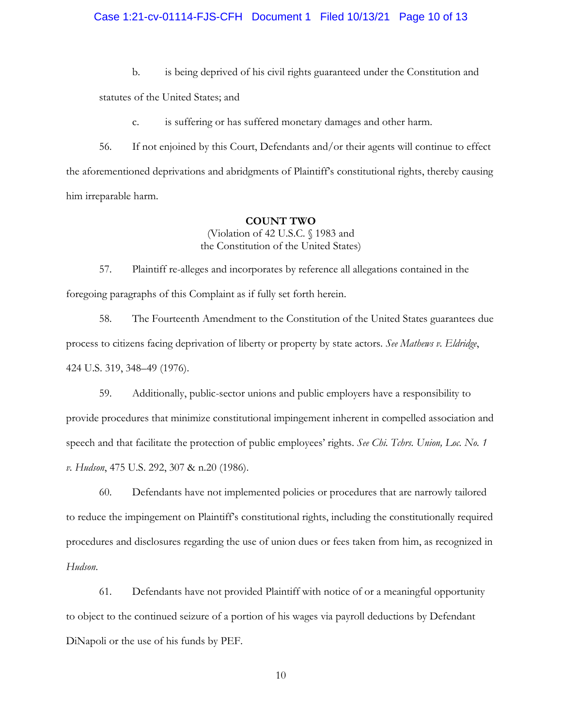### Case 1:21-cv-01114-FJS-CFH Document 1 Filed 10/13/21 Page 10 of 13

b. is being deprived of his civil rights guaranteed under the Constitution and

statutes of the United States; and

c. is suffering or has suffered monetary damages and other harm.

56. If not enjoined by this Court, Defendants and/or their agents will continue to effect the aforementioned deprivations and abridgments of Plaintiff's constitutional rights, thereby causing him irreparable harm.

#### **COUNT TWO**

(Violation of 42 U.S.C. § 1983 and the Constitution of the United States)

57. Plaintiff re-alleges and incorporates by reference all allegations contained in the foregoing paragraphs of this Complaint as if fully set forth herein.

58. The Fourteenth Amendment to the Constitution of the United States guarantees due process to citizens facing deprivation of liberty or property by state actors. *See Mathews v. Eldridge*, 424 U.S. 319, 348–49 (1976).

59. Additionally, public-sector unions and public employers have a responsibility to provide procedures that minimize constitutional impingement inherent in compelled association and speech and that facilitate the protection of public employees' rights. *See Chi. Tchrs. Union, Loc. No. 1 v. Hudson*, 475 U.S. 292, 307 & n.20 (1986).

60. Defendants have not implemented policies or procedures that are narrowly tailored to reduce the impingement on Plaintiff's constitutional rights, including the constitutionally required procedures and disclosures regarding the use of union dues or fees taken from him, as recognized in *Hudson*.

61. Defendants have not provided Plaintiff with notice of or a meaningful opportunity to object to the continued seizure of a portion of his wages via payroll deductions by Defendant DiNapoli or the use of his funds by PEF.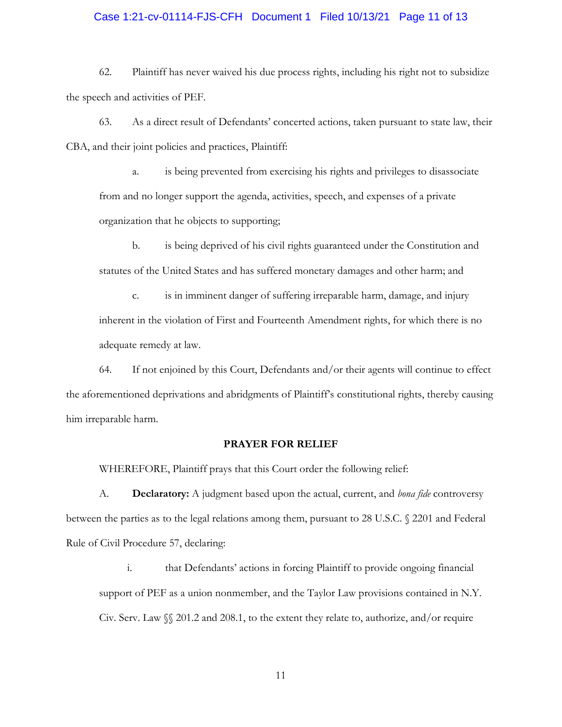### Case 1:21-cv-01114-FJS-CFH Document 1 Filed 10/13/21 Page 11 of 13

62. Plaintiff has never waived his due process rights, including his right not to subsidize the speech and activities of PEF.

63. As a direct result of Defendants' concerted actions, taken pursuant to state law, their CBA, and their joint policies and practices, Plaintiff:

a. is being prevented from exercising his rights and privileges to disassociate from and no longer support the agenda, activities, speech, and expenses of a private organization that he objects to supporting;

b. is being deprived of his civil rights guaranteed under the Constitution and statutes of the United States and has suffered monetary damages and other harm; and

c. is in imminent danger of suffering irreparable harm, damage, and injury inherent in the violation of First and Fourteenth Amendment rights, for which there is no adequate remedy at law.

64. If not enjoined by this Court, Defendants and/or their agents will continue to effect the aforementioned deprivations and abridgments of Plaintiff's constitutional rights, thereby causing him irreparable harm.

### **PRAYER FOR RELIEF**

WHEREFORE, Plaintiff prays that this Court order the following relief:

A. **Declaratory:** A judgment based upon the actual, current, and *bona fide* controversy between the parties as to the legal relations among them, pursuant to 28 U.S.C. § 2201 and Federal Rule of Civil Procedure 57, declaring:

i. that Defendants' actions in forcing Plaintiff to provide ongoing financial support of PEF as a union nonmember, and the Taylor Law provisions contained in N.Y. Civ. Serv. Law §§ 201.2 and 208.1, to the extent they relate to, authorize, and/or require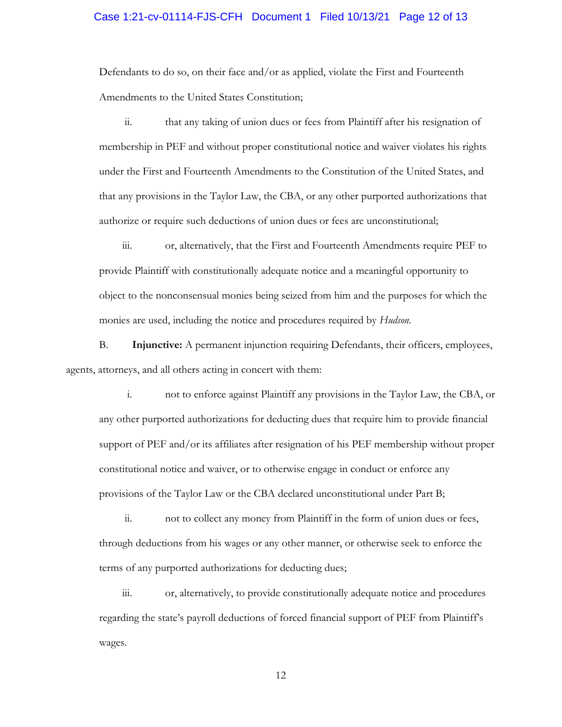#### Case 1:21-cv-01114-FJS-CFH Document 1 Filed 10/13/21 Page 12 of 13

Defendants to do so, on their face and/or as applied, violate the First and Fourteenth Amendments to the United States Constitution;

ii. that any taking of union dues or fees from Plaintiff after his resignation of membership in PEF and without proper constitutional notice and waiver violates his rights under the First and Fourteenth Amendments to the Constitution of the United States, and that any provisions in the Taylor Law, the CBA, or any other purported authorizations that authorize or require such deductions of union dues or fees are unconstitutional;

iii. or, alternatively, that the First and Fourteenth Amendments require PEF to provide Plaintiff with constitutionally adequate notice and a meaningful opportunity to object to the nonconsensual monies being seized from him and the purposes for which the monies are used, including the notice and procedures required by *Hudson*.

B. **Injunctive:** A permanent injunction requiring Defendants, their officers, employees, agents, attorneys, and all others acting in concert with them:

i. not to enforce against Plaintiff any provisions in the Taylor Law, the CBA, or any other purported authorizations for deducting dues that require him to provide financial support of PEF and/or its affiliates after resignation of his PEF membership without proper constitutional notice and waiver, or to otherwise engage in conduct or enforce any provisions of the Taylor Law or the CBA declared unconstitutional under Part B;

ii. not to collect any money from Plaintiff in the form of union dues or fees, through deductions from his wages or any other manner, or otherwise seek to enforce the terms of any purported authorizations for deducting dues;

iii. or, alternatively, to provide constitutionally adequate notice and procedures regarding the state's payroll deductions of forced financial support of PEF from Plaintiff's wages.